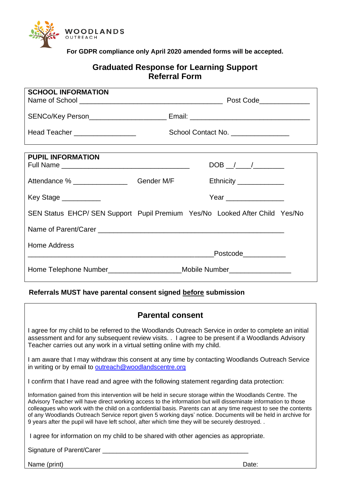

**For GDPR compliance only April 2020 amended forms will be accepted.**

## **Graduated Response for Learning Support Referral Form**

| <b>SCHOOL INFORMATION</b>                                                   |                                                                                  |  |                          |
|-----------------------------------------------------------------------------|----------------------------------------------------------------------------------|--|--------------------------|
|                                                                             |                                                                                  |  |                          |
|                                                                             |                                                                                  |  |                          |
| Head Teacher __________________                                             | School Contact No.                                                               |  |                          |
|                                                                             |                                                                                  |  |                          |
| <b>PUPIL INFORMATION</b>                                                    |                                                                                  |  |                          |
|                                                                             |                                                                                  |  |                          |
| Attendance % ___________________________Gender M/F                          |                                                                                  |  | Ethnicity ______________ |
| Key Stage ___________                                                       |                                                                                  |  | Year __________________  |
| SEN Status EHCP/ SEN Support Pupil Premium Yes/No Looked After Child Yes/No |                                                                                  |  |                          |
|                                                                             |                                                                                  |  |                          |
| <b>Home Address</b>                                                         |                                                                                  |  |                          |
|                                                                             |                                                                                  |  | Postcode____________     |
|                                                                             | Home Telephone Number________________________Mobile Number______________________ |  |                          |

## **Referrals MUST have parental consent signed before submission**

| <b>Parental consent</b>                                                                                                                                                                                                                                                                                                                                                                                                                                                                                                                                          |       |  |  |
|------------------------------------------------------------------------------------------------------------------------------------------------------------------------------------------------------------------------------------------------------------------------------------------------------------------------------------------------------------------------------------------------------------------------------------------------------------------------------------------------------------------------------------------------------------------|-------|--|--|
| I agree for my child to be referred to the Woodlands Outreach Service in order to complete an initial<br>assessment and for any subsequent review visits. . I agree to be present if a Woodlands Advisory<br>Teacher carries out any work in a virtual setting online with my child.                                                                                                                                                                                                                                                                             |       |  |  |
| I am aware that I may withdraw this consent at any time by contacting Woodlands Outreach Service<br>in writing or by email to outreach@woodlandscentre.org                                                                                                                                                                                                                                                                                                                                                                                                       |       |  |  |
| I confirm that I have read and agree with the following statement regarding data protection:                                                                                                                                                                                                                                                                                                                                                                                                                                                                     |       |  |  |
| Information gained from this intervention will be held in secure storage within the Woodlands Centre. The<br>Advisory Teacher will have direct working access to the information but will disseminate information to those<br>colleagues who work with the child on a confidential basis. Parents can at any time request to see the contents<br>of any Woodlands Outreach Service report given 5 working days' notice. Documents will be held in archive for<br>9 years after the pupil will have left school, after which time they will be securely destroyed |       |  |  |
| I agree for information on my child to be shared with other agencies as appropriate.                                                                                                                                                                                                                                                                                                                                                                                                                                                                             |       |  |  |
| Signature of Parent/Carer                                                                                                                                                                                                                                                                                                                                                                                                                                                                                                                                        |       |  |  |
| Name (print)                                                                                                                                                                                                                                                                                                                                                                                                                                                                                                                                                     | Date: |  |  |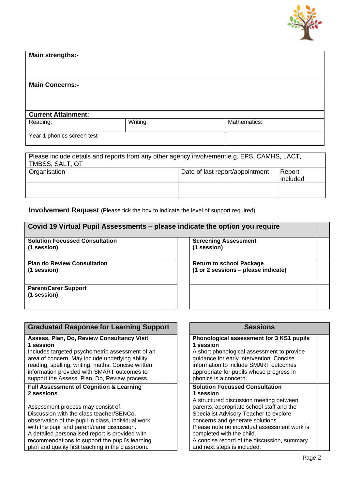

| <b>Main strengths:-</b>    |          |              |  |
|----------------------------|----------|--------------|--|
| <b>Main Concerns:-</b>     |          |              |  |
|                            |          |              |  |
|                            |          |              |  |
| <b>Current Attainment:</b> |          |              |  |
| Reading:                   | Writing: | Mathematics: |  |
| Year 1 phonics screen test |          |              |  |

| Please include details and reports from any other agency involvement e.g. EPS, CAMHS, LACT,<br>TMBSS, SALT, OT |                                 |                    |  |
|----------------------------------------------------------------------------------------------------------------|---------------------------------|--------------------|--|
| Organisation                                                                                                   | Date of last report/appointment | Report<br>Included |  |
|                                                                                                                |                                 |                    |  |

**Involvement Request** (Please tick the box to indicate the level of support required)

| <b>Solution Focussed Consultation</b>      | <b>Screening Assessment</b>         |
|--------------------------------------------|-------------------------------------|
| (1 session)                                | (1 session)                         |
| <b>Plan do Review Consultation</b>         | <b>Return to school Package</b>     |
| (1 session)                                | (1 or 2 sessions - please indicate) |
| <b>Parent/Carer Support</b><br>(1 session) |                                     |

| <b>Graduated Response for Learning Support</b>     |  | <b>Sessions</b>                              |  |
|----------------------------------------------------|--|----------------------------------------------|--|
| Assess, Plan, Do, Review Consultancy Visit         |  | Phonological assessment for 3 KS1 pupils     |  |
| 1 session                                          |  | 1 session                                    |  |
| Includes targeted psychometric assessment of an    |  | A short phonological assessment to provide   |  |
| area of concern. May include underlying ability,   |  | guidance for early intervention. Concise     |  |
| reading, spelling, writing, maths. Concise written |  | information to include SMART outcomes        |  |
| information provided with SMART outcomes to        |  | appropriate for pupils whose progress in     |  |
| support the Assess, Plan, Do, Review process.      |  | phonics is a concern.                        |  |
| <b>Full Assessment of Cognition &amp; Learning</b> |  | <b>Solution Focussed Consultation</b>        |  |
| 2 sessions                                         |  | 1 session                                    |  |
|                                                    |  | A structured discussion meeting between      |  |
| Assessment process may consist of:                 |  | parents, appropriate school staff and the    |  |
| Discussion with the class teacher/SENCo,           |  | Specialist Advisory Teacher to explore       |  |
| observation of the pupil in class, individual work |  | concerns and generate solutions.             |  |
| with the pupil and parent/carer discussion.        |  | Please note no individual assessment work is |  |
| A detailed personalised report is provided with    |  | completed with the child.                    |  |
| recommendations to support the pupil's learning    |  | A concise record of the discussion, summary  |  |
| plan and quality first teaching in the classroom.  |  | and next steps is included.                  |  |